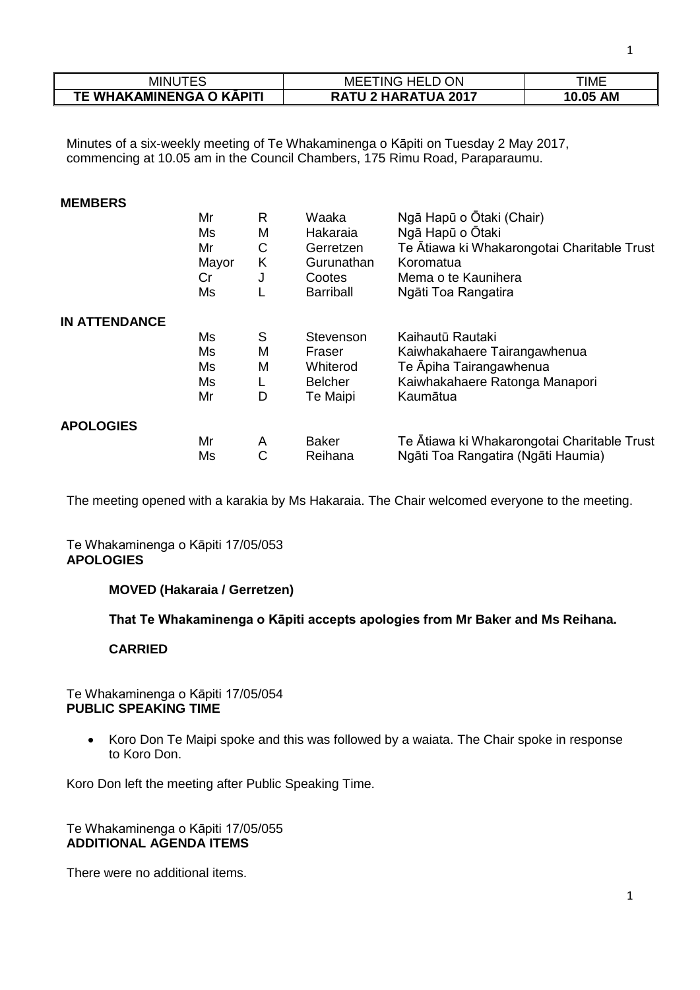| MINU                     | <b>MEETING HELD ON</b>     | ΓΙΜΕ     |
|--------------------------|----------------------------|----------|
| TE WHAKAMINENGA O KĀPITI | <b>RATU 2 HARATUA 2017</b> | 10.05 AM |

Minutes of a six-weekly meeting of Te Whakaminenga o Kāpiti on Tuesday 2 May 2017, commencing at 10.05 am in the Council Chambers, 175 Rimu Road, Paraparaumu.

#### **MEMBERS**

|                      | Mr    | R | Waaka            | Ngā Hapū o Ōtaki (Chair)                    |
|----------------------|-------|---|------------------|---------------------------------------------|
|                      | Ms    | M | Hakaraia         | Ngā Hapū o Ōtaki                            |
|                      | Mr    | С | Gerretzen        | Te Ātiawa ki Whakarongotai Charitable Trust |
|                      | Mayor | Κ | Gurunathan       | Koromatua                                   |
|                      | Cr    | J | Cootes           | Mema o te Kaunihera                         |
|                      | Ms    |   | <b>Barriball</b> | Ngāti Toa Rangatira                         |
| <b>IN ATTENDANCE</b> |       |   |                  |                                             |
|                      | Ms    | S | Stevenson        | Kaihautū Rautaki                            |
|                      | Ms    | M | Fraser           | Kaiwhakahaere Tairangawhenua                |
|                      | Ms    | M | Whiterod         | Te Āpiha Tairangawhenua                     |
|                      | Ms    |   | <b>Belcher</b>   | Kaiwhakahaere Ratonga Manapori              |
|                      | Mr    | D | Te Maipi         | Kaumātua                                    |
| <b>APOLOGIES</b>     |       |   |                  |                                             |
|                      | Mr    | A | <b>Baker</b>     | Te Atiawa ki Whakarongotai Charitable Trust |
|                      | Ms    | С | Reihana          | Ngāti Toa Rangatira (Ngāti Haumia)          |

The meeting opened with a karakia by Ms Hakaraia. The Chair welcomed everyone to the meeting.

## Te Whakaminenga o Kāpiti 17/05/053 **APOLOGIES**

## **MOVED (Hakaraia / Gerretzen)**

**That Te Whakaminenga o Kāpiti accepts apologies from Mr Baker and Ms Reihana.** 

# **CARRIED**

## Te Whakaminenga o Kāpiti 17/05/054 **PUBLIC SPEAKING TIME**

• Koro Don Te Maipi spoke and this was followed by a waiata. The Chair spoke in response to Koro Don.

Koro Don left the meeting after Public Speaking Time.

## Te Whakaminenga o Kāpiti 17/05/055 **ADDITIONAL AGENDA ITEMS**

There were no additional items.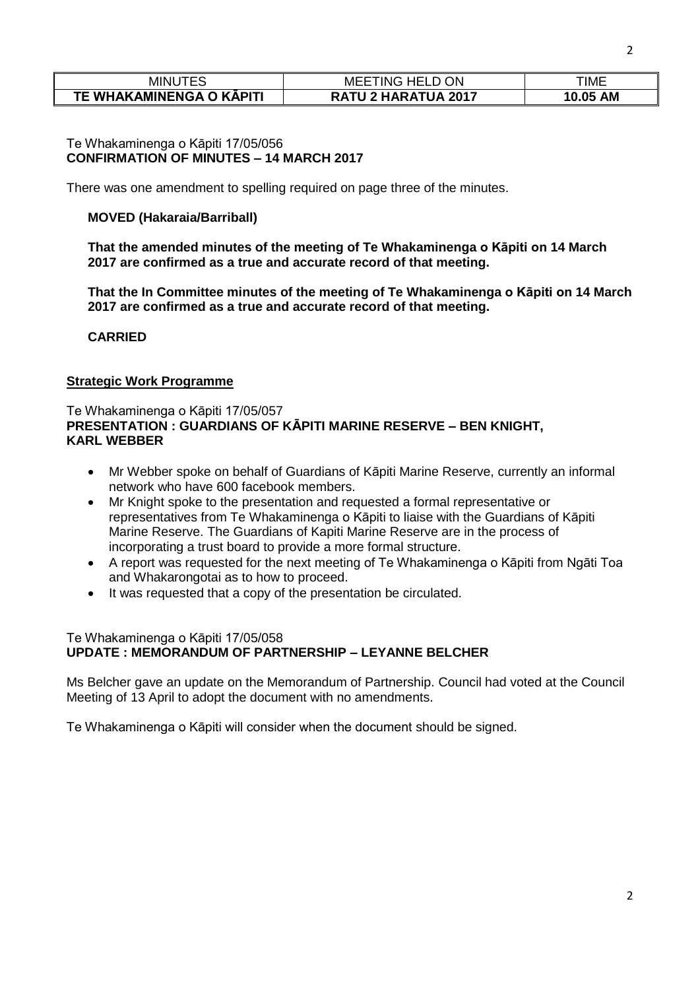| <b>MINUTES</b>           | <b>HELL</b><br>ΟN<br>MEE<br>TING | TIME               |
|--------------------------|----------------------------------|--------------------|
| TE WHAKAMINENGA O KĀPITI | TU 2 HARATUA 2017                | <b>AM</b><br>10.05 |

#### Te Whakaminenga o Kāpiti 17/05/056 **CONFIRMATION OF MINUTES – 14 MARCH 2017**

There was one amendment to spelling required on page three of the minutes.

## **MOVED (Hakaraia/Barriball)**

**That the amended minutes of the meeting of Te Whakaminenga o Kāpiti on 14 March 2017 are confirmed as a true and accurate record of that meeting.**

**That the In Committee minutes of the meeting of Te Whakaminenga o Kāpiti on 14 March 2017 are confirmed as a true and accurate record of that meeting.**

**CARRIED**

## **Strategic Work Programme**

# Te Whakaminenga o Kāpiti 17/05/057 **PRESENTATION : GUARDIANS OF KĀPITI MARINE RESERVE – BEN KNIGHT, KARL WEBBER**

- Mr Webber spoke on behalf of Guardians of Kāpiti Marine Reserve, currently an informal network who have 600 facebook members.
- Mr Knight spoke to the presentation and requested a formal representative or representatives from Te Whakaminenga o Kāpiti to liaise with the Guardians of Kāpiti Marine Reserve. The Guardians of Kapiti Marine Reserve are in the process of incorporating a trust board to provide a more formal structure.
- A report was requested for the next meeting of Te Whakaminenga o Kāpiti from Ngāti Toa and Whakarongotai as to how to proceed.
- It was requested that a copy of the presentation be circulated.

#### Te Whakaminenga o Kāpiti 17/05/058 **UPDATE : MEMORANDUM OF PARTNERSHIP – LEYANNE BELCHER**

Ms Belcher gave an update on the Memorandum of Partnership. Council had voted at the Council Meeting of 13 April to adopt the document with no amendments.

Te Whakaminenga o Kāpiti will consider when the document should be signed.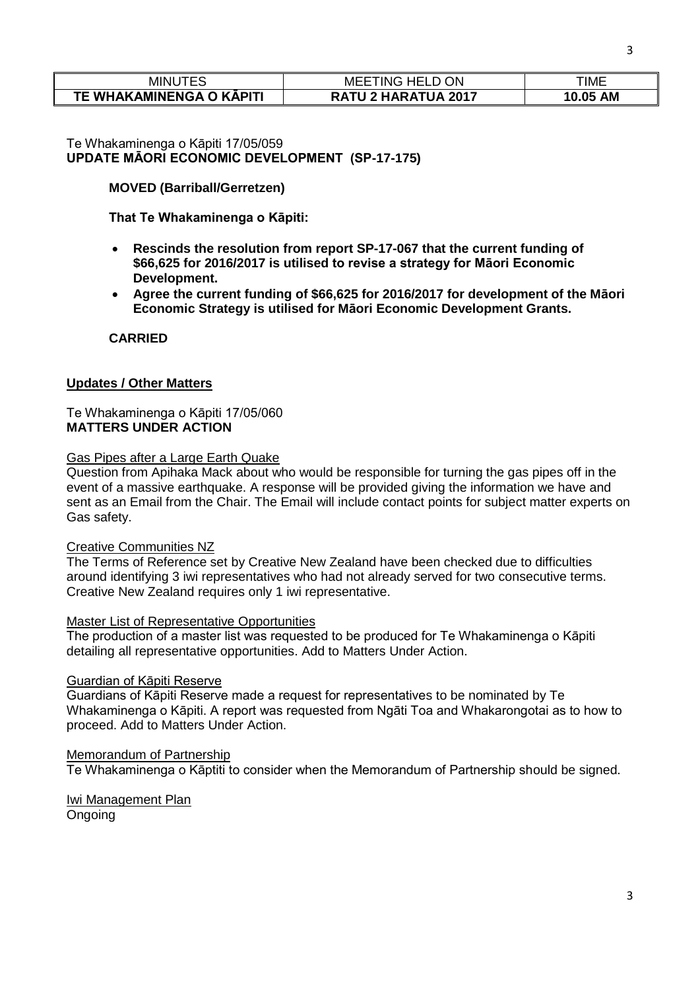| minu<br>JI ES            | <b>MEETING HELD O</b><br>ON | TIME     |
|--------------------------|-----------------------------|----------|
| TE WHAKAMINENGA O KĀPITI | <b>RATU 2 HARATUA 2017</b>  | 10.05 AM |

## Te Whakaminenga o Kāpiti 17/05/059 **UPDATE MĀORI ECONOMIC DEVELOPMENT (SP-17-175)**

# **MOVED (Barriball/Gerretzen)**

**That Te Whakaminenga o Kāpiti:**

- **Rescinds the resolution from report SP-17-067 that the current funding of \$66,625 for 2016/2017 is utilised to revise a strategy for Māori Economic Development.**
- **Agree the current funding of \$66,625 for 2016/2017 for development of the Māori Economic Strategy is utilised for Māori Economic Development Grants.**

**CARRIED**

## **Updates / Other Matters**

## Te Whakaminenga o Kāpiti 17/05/060 **MATTERS UNDER ACTION**

## Gas Pipes after a Large Earth Quake

Question from Apihaka Mack about who would be responsible for turning the gas pipes off in the event of a massive earthquake. A response will be provided giving the information we have and sent as an Email from the Chair. The Email will include contact points for subject matter experts on Gas safety.

#### Creative Communities NZ

The Terms of Reference set by Creative New Zealand have been checked due to difficulties around identifying 3 iwi representatives who had not already served for two consecutive terms. Creative New Zealand requires only 1 iwi representative.

#### Master List of Representative Opportunities

The production of a master list was requested to be produced for Te Whakaminenga o Kāpiti detailing all representative opportunities. Add to Matters Under Action.

#### Guardian of Kāpiti Reserve

Guardians of Kāpiti Reserve made a request for representatives to be nominated by Te Whakaminenga o Kāpiti. A report was requested from Ngāti Toa and Whakarongotai as to how to proceed. Add to Matters Under Action.

#### Memorandum of Partnership

Te Whakaminenga o Kāptiti to consider when the Memorandum of Partnership should be signed.

# Iwi Management Plan

Ongoing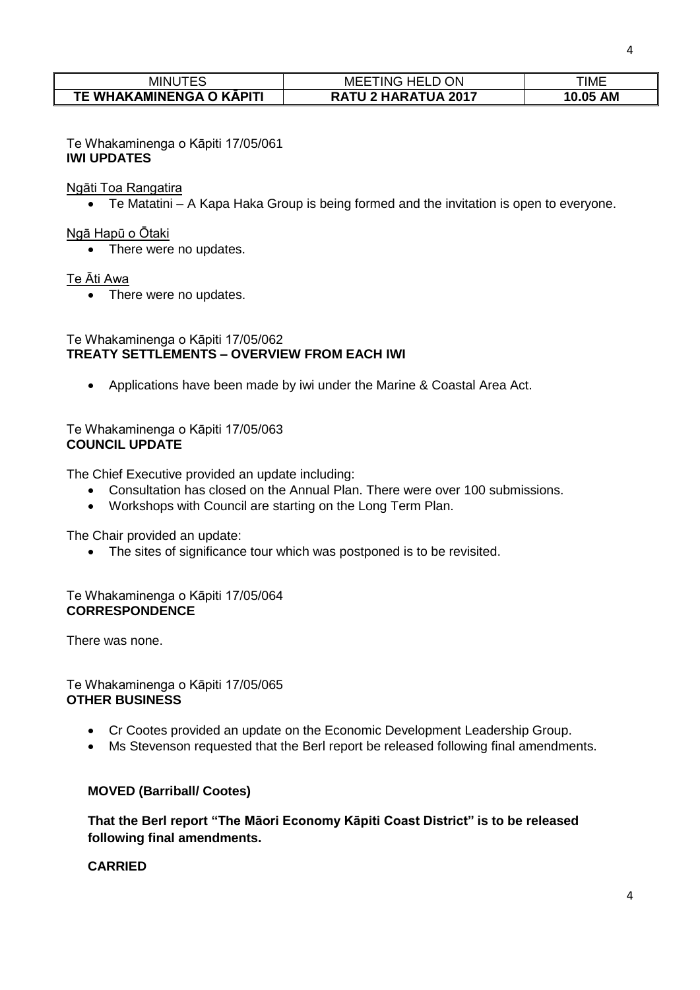| <b>MINUTES</b>           | <b>ON</b><br>MEE1<br><b>iNG HELD C</b> | <b>TIME</b>        |
|--------------------------|----------------------------------------|--------------------|
| TE WHAKAMINENGA O KĀPITI | <b>RATU 2 HARATUA 2017</b>             | <b>AM</b><br>10.05 |

Te Whakaminenga o Kāpiti 17/05/061 **IWI UPDATES**

Ngāti Toa Rangatira

Te Matatini – A Kapa Haka Group is being formed and the invitation is open to everyone.

#### Ngā Hapū o Ōtaki

• There were no updates.

## Te Āti Awa

• There were no updates.

#### Te Whakaminenga o Kāpiti 17/05/062 **TREATY SETTLEMENTS – OVERVIEW FROM EACH IWI**

Applications have been made by iwi under the Marine & Coastal Area Act.

## Te Whakaminenga o Kāpiti 17/05/063 **COUNCIL UPDATE**

The Chief Executive provided an update including:

- Consultation has closed on the Annual Plan. There were over 100 submissions.
- Workshops with Council are starting on the Long Term Plan.

The Chair provided an update:

• The sites of significance tour which was postponed is to be revisited.

# Te Whakaminenga o Kāpiti 17/05/064 **CORRESPONDENCE**

There was none.

## Te Whakaminenga o Kāpiti 17/05/065 **OTHER BUSINESS**

- Cr Cootes provided an update on the Economic Development Leadership Group.
- Ms Stevenson requested that the Berl report be released following final amendments.

# **MOVED (Barriball/ Cootes)**

**That the Berl report "The Māori Economy Kāpiti Coast District" is to be released following final amendments.**

# **CARRIED**